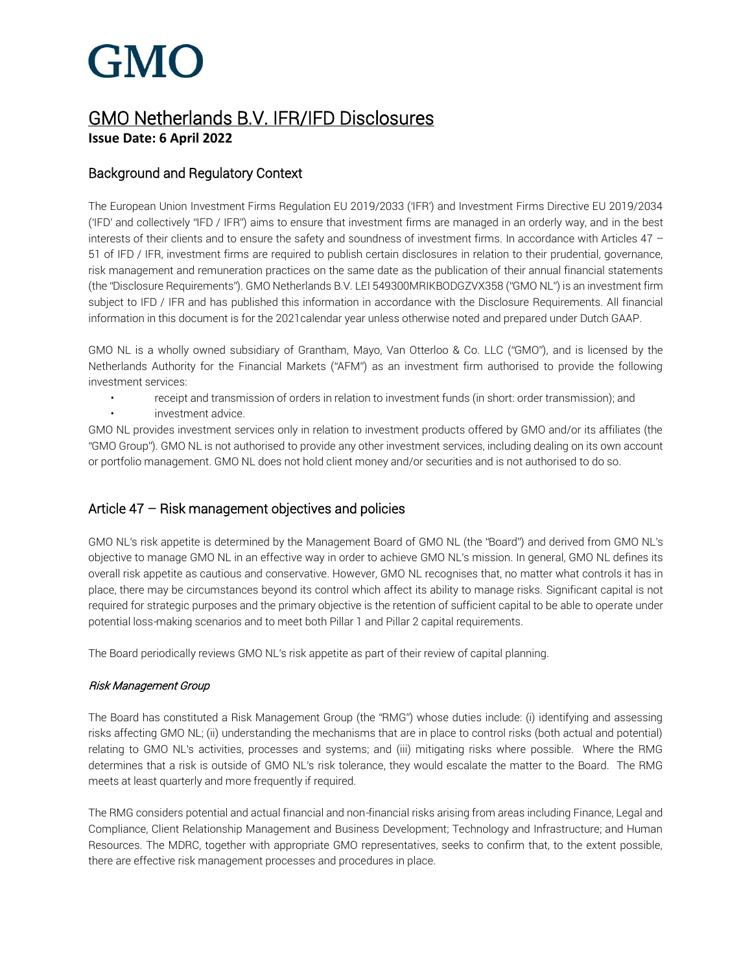### GMO Netherlands B.V. IFR/IFD Disclosures **Issue Date: 6 April 2022**

#### Background and Regulatory Context

The European Union Investment Firms Regulation EU 2019/2033 ('IFR') and Investment Firms Directive EU 2019/2034 ('IFD' and collectively "IFD / IFR") aims to ensure that investment firms are managed in an orderly way, and in the best interests of their clients and to ensure the safety and soundness of investment firms. In accordance with Articles 47 – 51 of IFD / IFR, investment firms are required to publish certain disclosures in relation to their prudential, governance, risk management and remuneration practices on the same date as the publication of their annual financial statements (the "Disclosure Requirements"). GMO Netherlands B.V. LEI 549300MRIKBODGZVX358 ("GMO NL") is an investment firm subject to IFD / IFR and has published this information in accordance with the Disclosure Requirements. All financial information in this document is for the 2021calendar year unless otherwise noted and prepared under Dutch GAAP.

GMO NL is a wholly owned subsidiary of Grantham, Mayo, Van Otterloo & Co. LLC ("GMO"), and is licensed by the Netherlands Authority for the Financial Markets ("AFM") as an investment firm authorised to provide the following investment services:

• receipt and transmission of orders in relation to investment funds (in short: order transmission); and • investment advice.

GMO NL provides investment services only in relation to investment products offered by GMO and/or its affiliates (the "GMO Group"). GMO NL is not authorised to provide any other investment services, including dealing on its own account or portfolio management. GMO NL does not hold client money and/or securities and is not authorised to do so.

#### Article 47 – Risk management objectives and policies

GMO NL's risk appetite is determined by the Management Board of GMO NL (the "Board") and derived from GMO NL's objective to manage GMO NL in an effective way in order to achieve GMO NL's mission. In general, GMO NL defines its overall risk appetite as cautious and conservative. However, GMO NL recognises that, no matter what controls it has in place, there may be circumstances beyond its control which affect its ability to manage risks. Significant capital is not required for strategic purposes and the primary objective is the retention of sufficient capital to be able to operate under potential loss-making scenarios and to meet both Pillar 1 and Pillar 2 capital requirements.

The Board periodically reviews GMO NL's risk appetite as part of their review of capital planning.

#### Risk Management Group

The Board has constituted a Risk Management Group (the "RMG") whose duties include: (i) identifying and assessing risks affecting GMO NL; (ii) understanding the mechanisms that are in place to control risks (both actual and potential) relating to GMO NL's activities, processes and systems; and (iii) mitigating risks where possible. Where the RMG determines that a risk is outside of GMO NL's risk tolerance, they would escalate the matter to the Board. The RMG meets at least quarterly and more frequently if required.

The RMG considers potential and actual financial and non-financial risks arising from areas including Finance, Legal and Compliance, Client Relationship Management and Business Development; Technology and Infrastructure; and Human Resources. The MDRC, together with appropriate GMO representatives, seeks to confirm that, to the extent possible, there are effective risk management processes and procedures in place.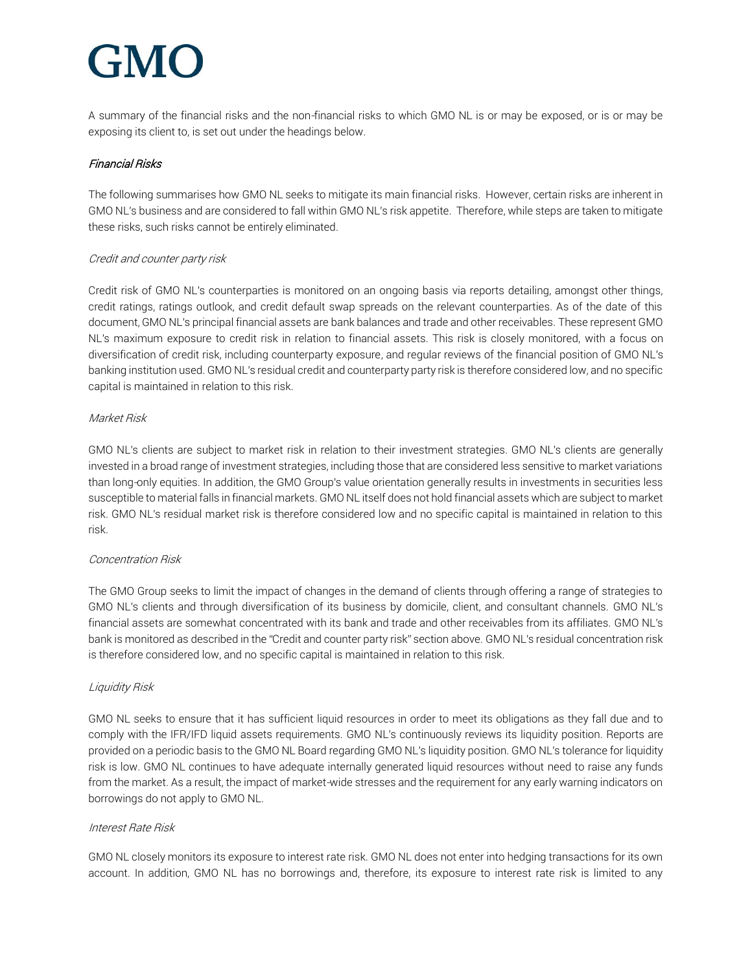A summary of the financial risks and the non-financial risks to which GMO NL is or may be exposed, or is or may be exposing its client to, is set out under the headings below.

#### Financial Risks

The following summarises how GMO NL seeks to mitigate its main financial risks. However, certain risks are inherent in GMO NL's business and are considered to fall within GMO NL's risk appetite. Therefore, while steps are taken to mitigate these risks, such risks cannot be entirely eliminated.

#### Credit and counter party risk

Credit risk of GMO NL's counterparties is monitored on an ongoing basis via reports detailing, amongst other things, credit ratings, ratings outlook, and credit default swap spreads on the relevant counterparties. As of the date of this document, GMO NL's principal financial assets are bank balances and trade and other receivables. These represent GMO NL's maximum exposure to credit risk in relation to financial assets. This risk is closely monitored, with a focus on diversification of credit risk, including counterparty exposure, and regular reviews of the financial position of GMO NL's banking institution used. GMO NL's residual credit and counterparty party risk is therefore considered low, and no specific capital is maintained in relation to this risk.

#### Market Risk

GMO NL's clients are subject to market risk in relation to their investment strategies. GMO NL's clients are generally invested in a broad range of investment strategies, including those that are considered less sensitive to market variations than long-only equities. In addition, the GMO Group's value orientation generally results in investments in securities less susceptible to material falls in financial markets. GMO NL itself does not hold financial assets which are subject to market risk. GMO NL's residual market risk is therefore considered low and no specific capital is maintained in relation to this risk.

#### Concentration Risk

The GMO Group seeks to limit the impact of changes in the demand of clients through offering a range of strategies to GMO NL's clients and through diversification of its business by domicile, client, and consultant channels. GMO NL's financial assets are somewhat concentrated with its bank and trade and other receivables from its affiliates. GMO NL's bank is monitored as described in the "Credit and counter party risk" section above. GMO NL's residual concentration risk is therefore considered low, and no specific capital is maintained in relation to this risk.

#### Liquidity Risk

GMO NL seeks to ensure that it has sufficient liquid resources in order to meet its obligations as they fall due and to comply with the IFR/IFD liquid assets requirements. GMO NL's continuously reviews its liquidity position. Reports are provided on a periodic basis to the GMO NL Board regarding GMO NL's liquidity position. GMO NL's tolerance for liquidity risk is low. GMO NL continues to have adequate internally generated liquid resources without need to raise any funds from the market. As a result, the impact of market-wide stresses and the requirement for any early warning indicators on borrowings do not apply to GMO NL.

#### Interest Rate Risk

GMO NL closely monitors its exposure to interest rate risk. GMO NL does not enter into hedging transactions for its own account. In addition, GMO NL has no borrowings and, therefore, its exposure to interest rate risk is limited to any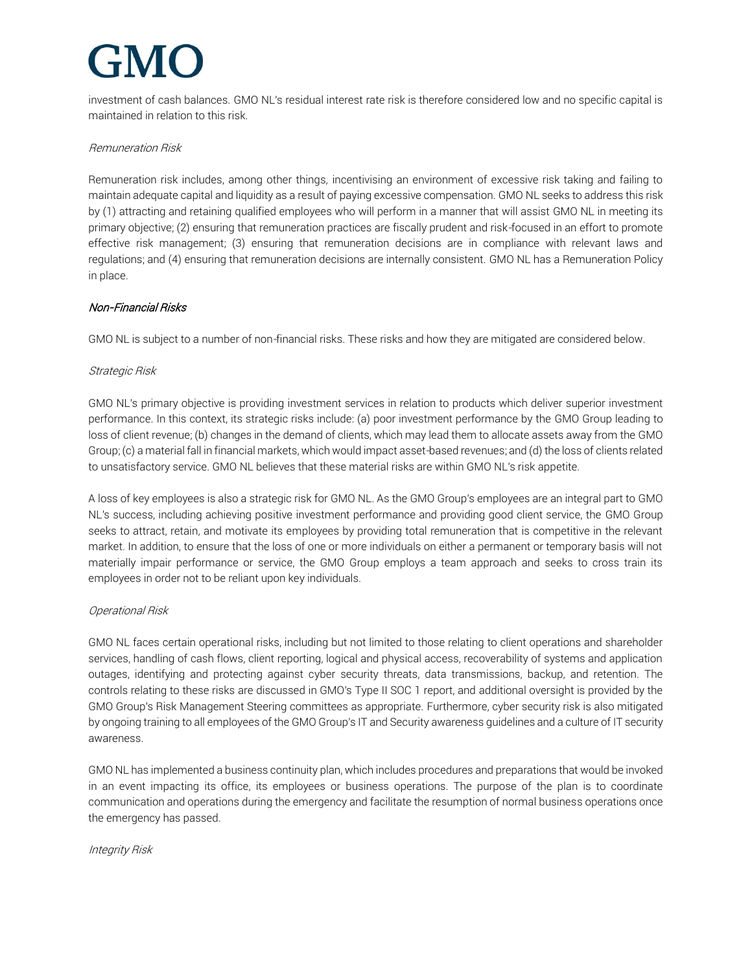investment of cash balances. GMO NL's residual interest rate risk is therefore considered low and no specific capital is maintained in relation to this risk.

#### Remuneration Risk

Remuneration risk includes, among other things, incentivising an environment of excessive risk taking and failing to maintain adequate capital and liquidity as a result of paying excessive compensation. GMO NL seeks to address this risk by (1) attracting and retaining qualified employees who will perform in a manner that will assist GMO NL in meeting its primary objective; (2) ensuring that remuneration practices are fiscally prudent and risk-focused in an effort to promote effective risk management; (3) ensuring that remuneration decisions are in compliance with relevant laws and regulations; and (4) ensuring that remuneration decisions are internally consistent. GMO NL has a Remuneration Policy in place.

#### Non-Financial Risks

GMO NL is subject to a number of non-financial risks. These risks and how they are mitigated are considered below.

#### Strategic Risk

GMO NL's primary objective is providing investment services in relation to products which deliver superior investment performance. In this context, its strategic risks include: (a) poor investment performance by the GMO Group leading to loss of client revenue; (b) changes in the demand of clients, which may lead them to allocate assets away from the GMO Group; (c) a material fall in financial markets, which would impact asset-based revenues; and (d) the loss of clients related to unsatisfactory service. GMO NL believes that these material risks are within GMO NL's risk appetite.

A loss of key employees is also a strategic risk for GMO NL. As the GMO Group's employees are an integral part to GMO NL's success, including achieving positive investment performance and providing good client service, the GMO Group seeks to attract, retain, and motivate its employees by providing total remuneration that is competitive in the relevant market. In addition, to ensure that the loss of one or more individuals on either a permanent or temporary basis will not materially impair performance or service, the GMO Group employs a team approach and seeks to cross train its employees in order not to be reliant upon key individuals.

#### Operational Risk

GMO NL faces certain operational risks, including but not limited to those relating to client operations and shareholder services, handling of cash flows, client reporting, logical and physical access, recoverability of systems and application outages, identifying and protecting against cyber security threats, data transmissions, backup, and retention. The controls relating to these risks are discussed in GMO's Type II SOC 1 report, and additional oversight is provided by the GMO Group's Risk Management Steering committees as appropriate. Furthermore, cyber security risk is also mitigated by ongoing training to all employees of the GMO Group's IT and Security awareness guidelines and a culture of IT security awareness.

GMO NL has implemented a business continuity plan, which includes procedures and preparations that would be invoked in an event impacting its office, its employees or business operations. The purpose of the plan is to coordinate communication and operations during the emergency and facilitate the resumption of normal business operations once the emergency has passed.

#### Integrity Risk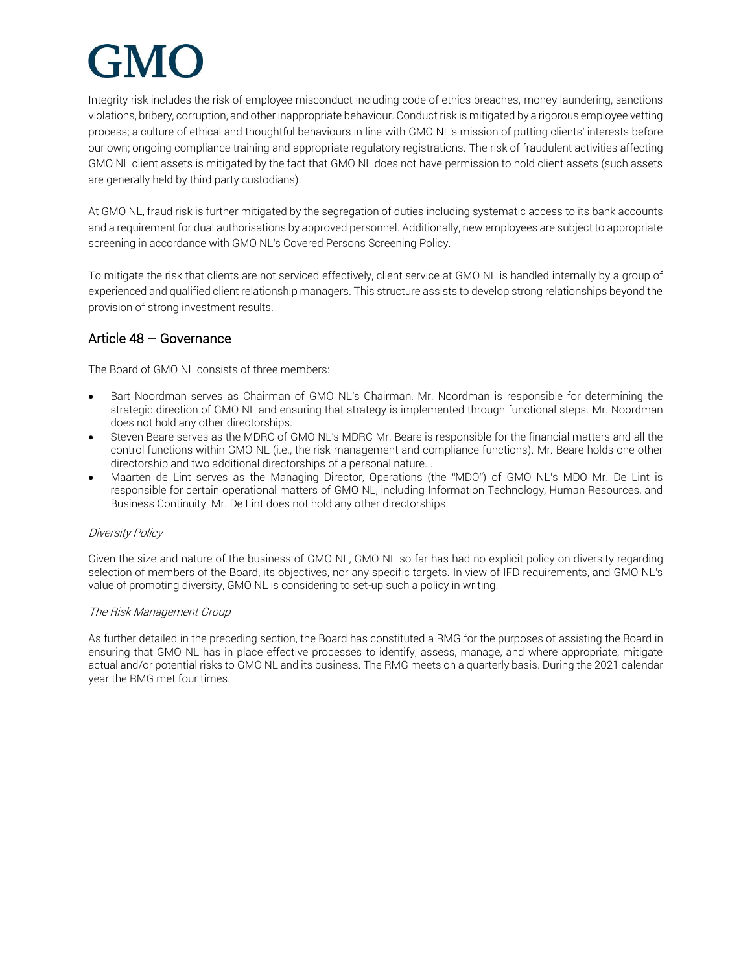Integrity risk includes the risk of employee misconduct including code of ethics breaches, money laundering, sanctions violations, bribery, corruption, and other inappropriate behaviour. Conduct risk is mitigated by a rigorous employee vetting process; a culture of ethical and thoughtful behaviours in line with GMO NL's mission of putting clients' interests before our own; ongoing compliance training and appropriate regulatory registrations. The risk of fraudulent activities affecting GMO NL client assets is mitigated by the fact that GMO NL does not have permission to hold client assets (such assets are generally held by third party custodians).

At GMO NL, fraud risk is further mitigated by the segregation of duties including systematic access to its bank accounts and a requirement for dual authorisations by approved personnel. Additionally, new employees are subject to appropriate screening in accordance with GMO NL's Covered Persons Screening Policy.

To mitigate the risk that clients are not serviced effectively, client service at GMO NL is handled internally by a group of experienced and qualified client relationship managers. This structure assists to develop strong relationships beyond the provision of strong investment results.

#### Article 48 – Governance

The Board of GMO NL consists of three members:

- Bart Noordman serves as Chairman of GMO NL's Chairman, Mr. Noordman is responsible for determining the strategic direction of GMO NL and ensuring that strategy is implemented through functional steps. Mr. Noordman does not hold any other directorships.
- Steven Beare serves as the MDRC of GMO NL's MDRC Mr. Beare is responsible for the financial matters and all the control functions within GMO NL (i.e., the risk management and compliance functions). Mr. Beare holds one other directorship and two additional directorships of a personal nature. .
- Maarten de Lint serves as the Managing Director, Operations (the "MDO") of GMO NL's MDO Mr. De Lint is responsible for certain operational matters of GMO NL, including Information Technology, Human Resources, and Business Continuity. Mr. De Lint does not hold any other directorships.

#### Diversity Policy

Given the size and nature of the business of GMO NL, GMO NL so far has had no explicit policy on diversity regarding selection of members of the Board, its objectives, nor any specific targets. In view of IFD requirements, and GMO NL's value of promoting diversity, GMO NL is considering to set-up such a policy in writing.

#### The Risk Management Group

As further detailed in the preceding section, the Board has constituted a RMG for the purposes of assisting the Board in ensuring that GMO NL has in place effective processes to identify, assess, manage, and where appropriate, mitigate actual and/or potential risks to GMO NL and its business. The RMG meets on a quarterly basis. During the 2021 calendar year the RMG met four times.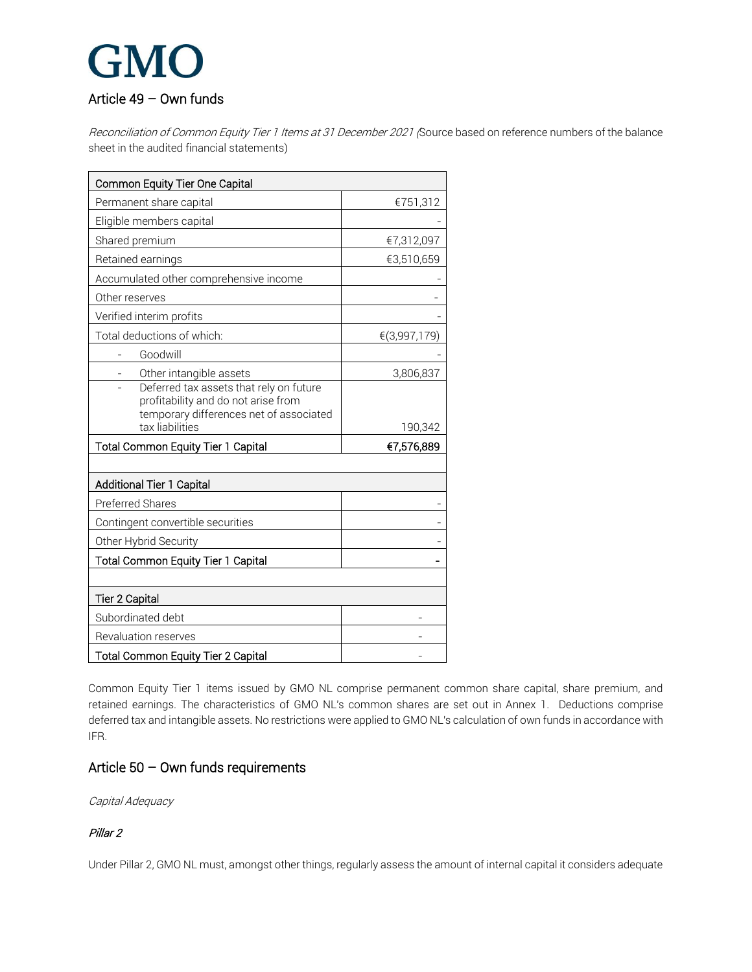### GMO Article 49 – Own funds

Reconciliation of Common Equity Tier 1 Items at 31 December 2021 (Source based on reference numbers of the balance sheet in the audited financial statements)

| Common Equity Tier One Capital                                                                                                               |              |
|----------------------------------------------------------------------------------------------------------------------------------------------|--------------|
| Permanent share capital                                                                                                                      | €751,312     |
| Eligible members capital                                                                                                                     |              |
| Shared premium                                                                                                                               | €7,312,097   |
| Retained earnings                                                                                                                            | €3,510,659   |
| Accumulated other comprehensive income                                                                                                       |              |
| Other reserves                                                                                                                               |              |
| Verified interim profits                                                                                                                     |              |
| Total deductions of which:                                                                                                                   | €(3,997,179) |
| Goodwill                                                                                                                                     |              |
| Other intangible assets                                                                                                                      | 3,806,837    |
| Deferred tax assets that rely on future<br>profitability and do not arise from<br>temporary differences net of associated<br>tax liabilities | 190,342      |
|                                                                                                                                              |              |
|                                                                                                                                              |              |
| <b>Total Common Equity Tier 1 Capital</b>                                                                                                    | €7,576,889   |
| Additional Tier 1 Capital                                                                                                                    |              |
| Preferred Shares                                                                                                                             |              |
| Contingent convertible securities                                                                                                            |              |
| Other Hybrid Security                                                                                                                        |              |
| <b>Total Common Equity Tier 1 Capital</b>                                                                                                    |              |
|                                                                                                                                              |              |
| <b>Tier 2 Capital</b>                                                                                                                        |              |
| Subordinated debt                                                                                                                            |              |
| Revaluation reserves                                                                                                                         |              |

Common Equity Tier 1 items issued by GMO NL comprise permanent common share capital, share premium, and retained earnings. The characteristics of GMO NL's common shares are set out in Annex 1. Deductions comprise deferred tax and intangible assets. No restrictions were applied to GMO NL's calculation of own funds in accordance with IFR.

#### Article 50 – Own funds requirements

Capital Adequacy

#### Pillar 2

Under Pillar 2, GMO NL must, amongst other things, regularly assess the amount of internal capital it considers adequate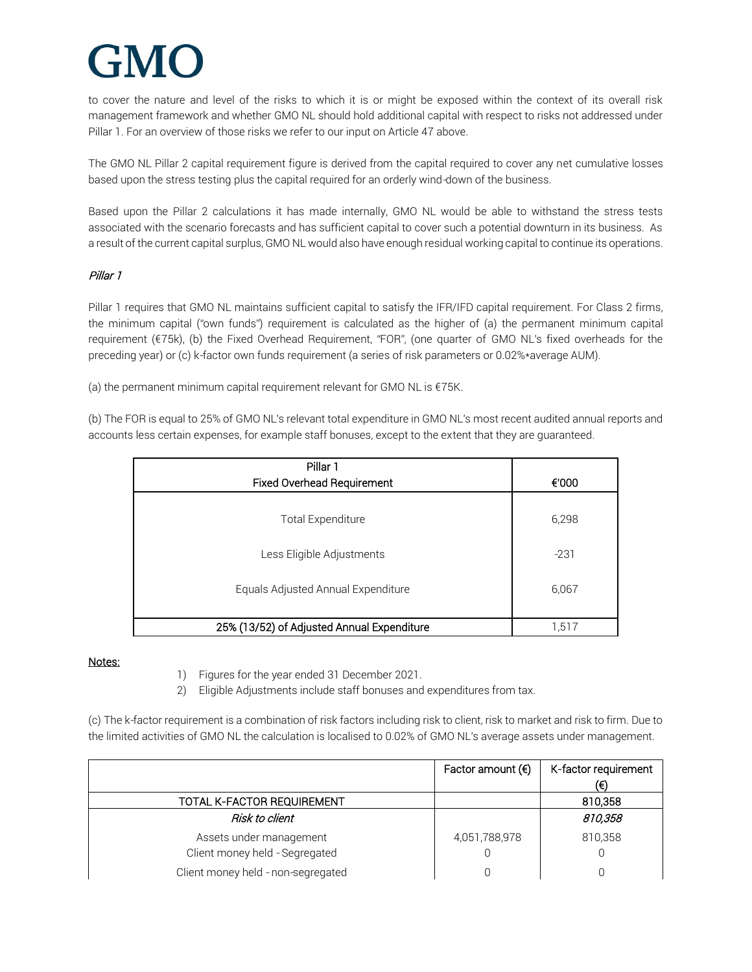to cover the nature and level of the risks to which it is or might be exposed within the context of its overall risk management framework and whether GMO NL should hold additional capital with respect to risks not addressed under Pillar 1. For an overview of those risks we refer to our input on Article 47 above.

The GMO NL Pillar 2 capital requirement figure is derived from the capital required to cover any net cumulative losses based upon the stress testing plus the capital required for an orderly wind-down of the business.

Based upon the Pillar 2 calculations it has made internally, GMO NL would be able to withstand the stress tests associated with the scenario forecasts and has sufficient capital to cover such a potential downturn in its business. As a result of the current capital surplus, GMO NL would also have enough residual working capital to continue its operations.

#### Pillar 1

Pillar 1 requires that GMO NL maintains sufficient capital to satisfy the IFR/IFD capital requirement. For Class 2 firms, the minimum capital ("own funds") requirement is calculated as the higher of (a) the permanent minimum capital requirement (€75k), (b) the Fixed Overhead Requirement, "FOR", (one quarter of GMO NL's fixed overheads for the preceding year) or (c) k-factor own funds requirement (a series of risk parameters or 0.02%\*average AUM).

(a) the permanent minimum capital requirement relevant for GMO NL is €75K.

(b) The FOR is equal to 25% of GMO NL's relevant total expenditure in GMO NL's most recent audited annual reports and accounts less certain expenses, for example staff bonuses, except to the extent that they are guaranteed.

| Pillar 1                                   |        |
|--------------------------------------------|--------|
| <b>Fixed Overhead Requirement</b>          | €'000  |
| Total Expenditure                          | 6,298  |
| Less Eligible Adjustments                  | $-231$ |
| Equals Adjusted Annual Expenditure         | 6,067  |
| 25% (13/52) of Adjusted Annual Expenditure | 1,517  |

#### Notes:

- 1) Figures for the year ended 31 December 2021.
- 2) Eligible Adjustments include staff bonuses and expenditures from tax.

(c) The k-factor requirement is a combination of risk factors including risk to client, risk to market and risk to firm. Due to the limited activities of GMO NL the calculation is localised to 0.02% of GMO NL's average assets under management.

|                                    | Factor amount $(6)$ | K-factor requirement<br>(€) |
|------------------------------------|---------------------|-----------------------------|
| TOTAL K-FACTOR REQUIREMENT         |                     | 810,358                     |
| Risk to client                     |                     | 810,358                     |
| Assets under management            | 4,051,788,978       | 810,358                     |
| Client money held - Segregated     |                     |                             |
| Client money held - non-segregated |                     |                             |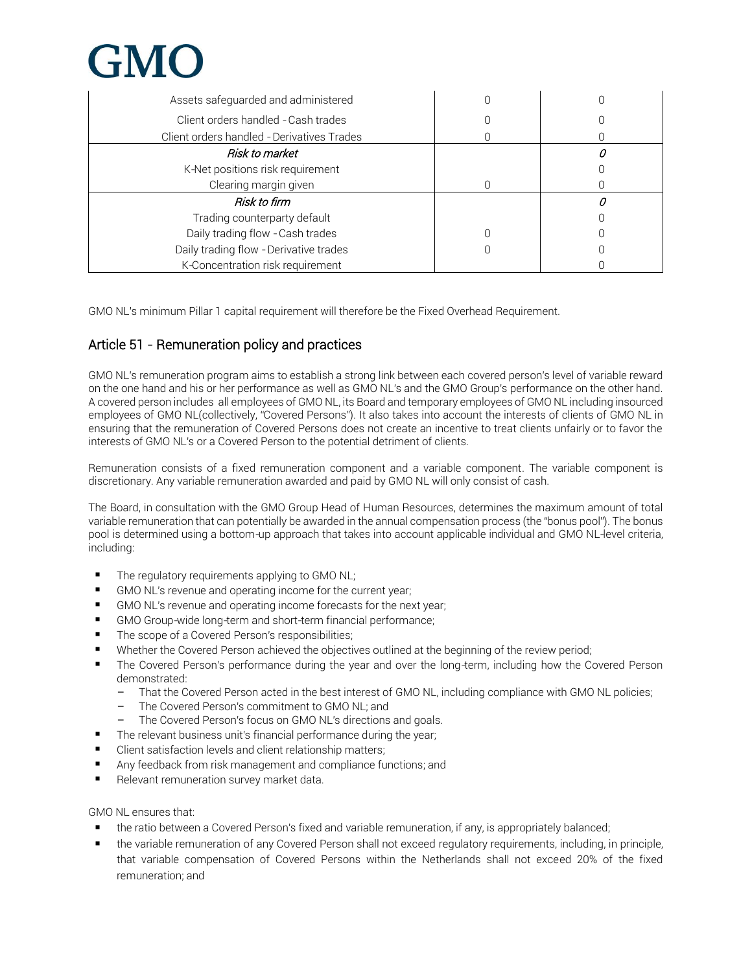

| Assets safeguarded and administered        |  |
|--------------------------------------------|--|
| Client orders handled - Cash trades        |  |
| Client orders handled - Derivatives Trades |  |
| Risk to market                             |  |
| K-Net positions risk requirement           |  |
| Clearing margin given                      |  |
| Risk to firm                               |  |
| Trading counterparty default               |  |
| Daily trading flow - Cash trades           |  |
| Daily trading flow - Derivative trades     |  |
| K-Concentration risk requirement           |  |

GMO NL's minimum Pillar 1 capital requirement will therefore be the Fixed Overhead Requirement.

#### Article 51 - Remuneration policy and practices

GMO NL's remuneration program aims to establish a strong link between each covered person's level of variable reward on the one hand and his or her performance as well as GMO NL's and the GMO Group's performance on the other hand. A covered person includes all employees of GMO NL, its Board and temporary employees of GMO NL including insourced employees of GMO NL(collectively, "Covered Persons"). It also takes into account the interests of clients of GMO NL in ensuring that the remuneration of Covered Persons does not create an incentive to treat clients unfairly or to favor the interests of GMO NL's or a Covered Person to the potential detriment of clients.

Remuneration consists of a fixed remuneration component and a variable component. The variable component is discretionary. Any variable remuneration awarded and paid by GMO NL will only consist of cash.

The Board, in consultation with the GMO Group Head of Human Resources, determines the maximum amount of total variable remuneration that can potentially be awarded in the annual compensation process (the "bonus pool"). The bonus pool is determined using a bottom-up approach that takes into account applicable individual and GMO NL-level criteria, including:

- The regulatory requirements applying to GMO NL;
- GMO NL's revenue and operating income for the current year;
- GMO NL's revenue and operating income forecasts for the next year;
- GMO Group-wide long-term and short-term financial performance;
- The scope of a Covered Person's responsibilities;
- Whether the Covered Person achieved the objectives outlined at the beginning of the review period;
- The Covered Person's performance during the year and over the long-term, including how the Covered Person demonstrated:
	- That the Covered Person acted in the best interest of GMO NL, including compliance with GMO NL policies;
	- The Covered Person's commitment to GMO NL; and
	- The Covered Person's focus on GMO NL's directions and goals.
- The relevant business unit's financial performance during the year;
- Client satisfaction levels and client relationship matters;
- Any feedback from risk management and compliance functions; and
- Relevant remuneration survey market data.

GMO NL ensures that:

- the ratio between a Covered Person's fixed and variable remuneration, if any, is appropriately balanced;
- **■** the variable remuneration of any Covered Person shall not exceed regulatory requirements, including, in principle, that variable compensation of Covered Persons within the Netherlands shall not exceed 20% of the fixed remuneration; and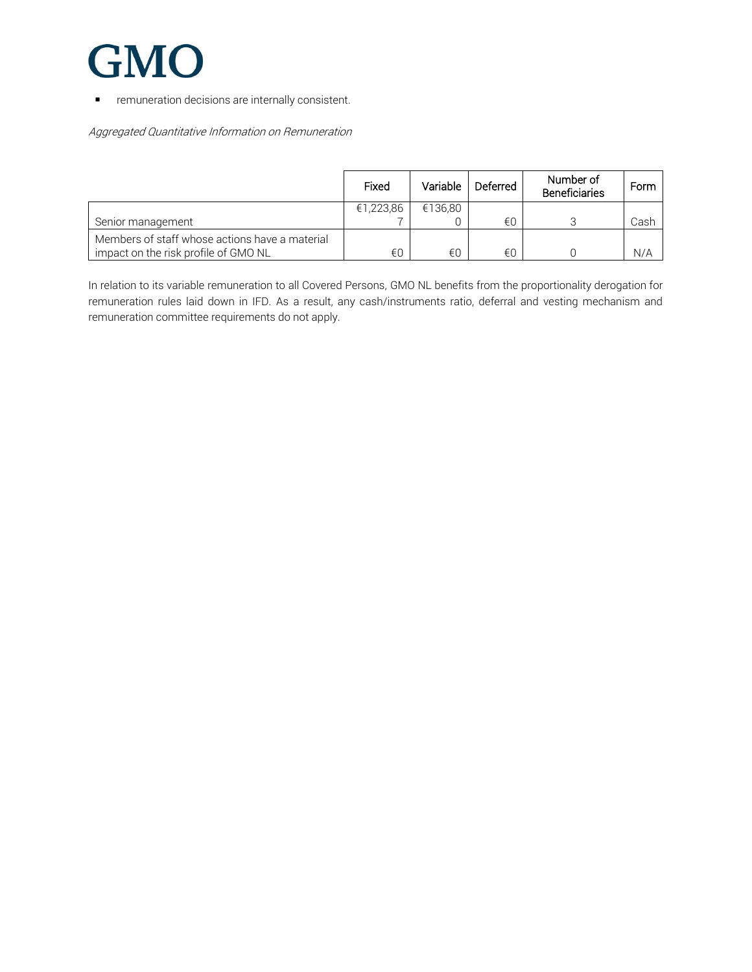

**■** remuneration decisions are internally consistent.

Aggregated Quantitative Information on Remuneration

|                                                                                        | Fixed     | Variable | Deferred | Number of<br><b>Beneficiaries</b> | Form |
|----------------------------------------------------------------------------------------|-----------|----------|----------|-----------------------------------|------|
|                                                                                        | €1,223,86 | €136.80  |          |                                   |      |
| Senior management                                                                      |           |          | €∩       |                                   | Cash |
| Members of staff whose actions have a material<br>impact on the risk profile of GMO NL | €0        | €0       | €0       |                                   | N/A  |

In relation to its variable remuneration to all Covered Persons, GMO NL benefits from the proportionality derogation for remuneration rules laid down in IFD. As a result, any cash/instruments ratio, deferral and vesting mechanism and remuneration committee requirements do not apply.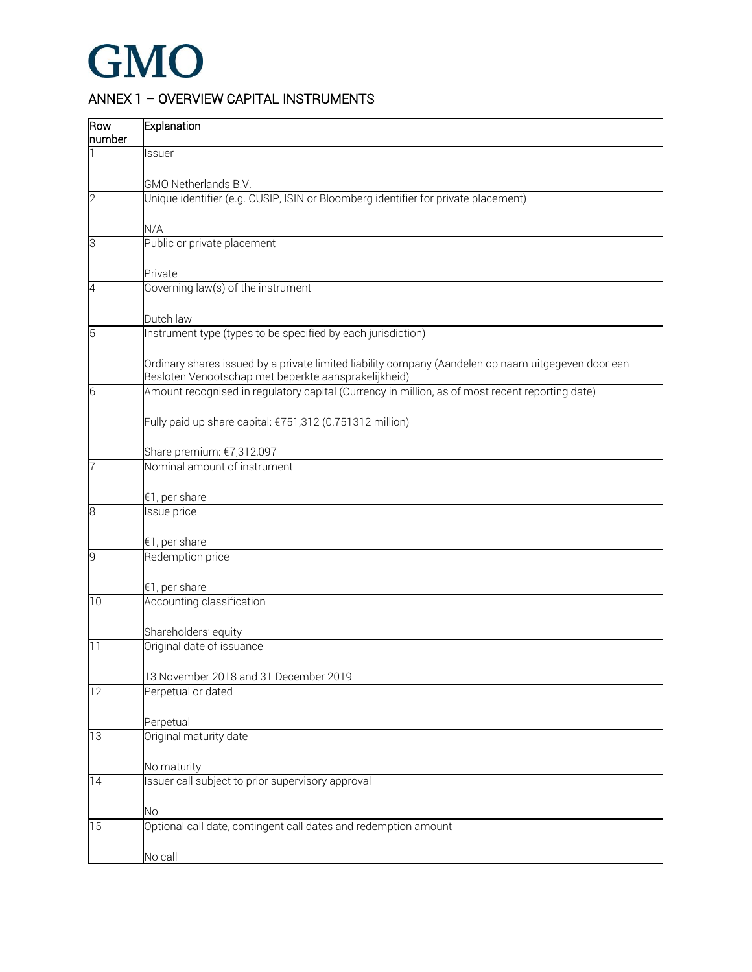### ANNEX 1 – OVERVIEW CAPITAL INSTRUMENTS

| Row<br>number   | Explanation                                                                                                                                                 |
|-----------------|-------------------------------------------------------------------------------------------------------------------------------------------------------------|
|                 | Issuer                                                                                                                                                      |
|                 | GMO Netherlands B.V.                                                                                                                                        |
| $\overline{c}$  | Unique identifier (e.g. CUSIP, ISIN or Bloomberg identifier for private placement)                                                                          |
|                 | N/A                                                                                                                                                         |
| 3               | Public or private placement<br>Private                                                                                                                      |
| 4               | Governing law(s) of the instrument                                                                                                                          |
|                 | Dutch law                                                                                                                                                   |
| 5               | Instrument type (types to be specified by each jurisdiction)                                                                                                |
|                 | Ordinary shares issued by a private limited liability company (Aandelen op naam uitgegeven door een<br>Besloten Venootschap met beperkte aansprakelijkheid) |
| 6               | Amount recognised in regulatory capital (Currency in million, as of most recent reporting date)                                                             |
|                 | Fully paid up share capital: €751,312 (0.751312 million)                                                                                                    |
|                 | Share premium: €7,312,097                                                                                                                                   |
| 7               | Nominal amount of instrument                                                                                                                                |
|                 | €1, per share                                                                                                                                               |
| 8               | Issue price                                                                                                                                                 |
|                 | €1, per share                                                                                                                                               |
| 9               | Redemption price                                                                                                                                            |
|                 | €1, per share                                                                                                                                               |
| 10              | Accounting classification                                                                                                                                   |
|                 | Shareholders' equity                                                                                                                                        |
| 11              | Original date of issuance<br>13 November 2018 and 31 December 2019                                                                                          |
| 12              | Perpetual or dated                                                                                                                                          |
|                 | Perpetual                                                                                                                                                   |
| $\overline{13}$ | Original maturity date                                                                                                                                      |
|                 | No maturity                                                                                                                                                 |
| $\overline{14}$ | Issuer call subject to prior supervisory approval                                                                                                           |
|                 | <b>No</b>                                                                                                                                                   |
| 15              | Optional call date, contingent call dates and redemption amount                                                                                             |
|                 |                                                                                                                                                             |
|                 | No call                                                                                                                                                     |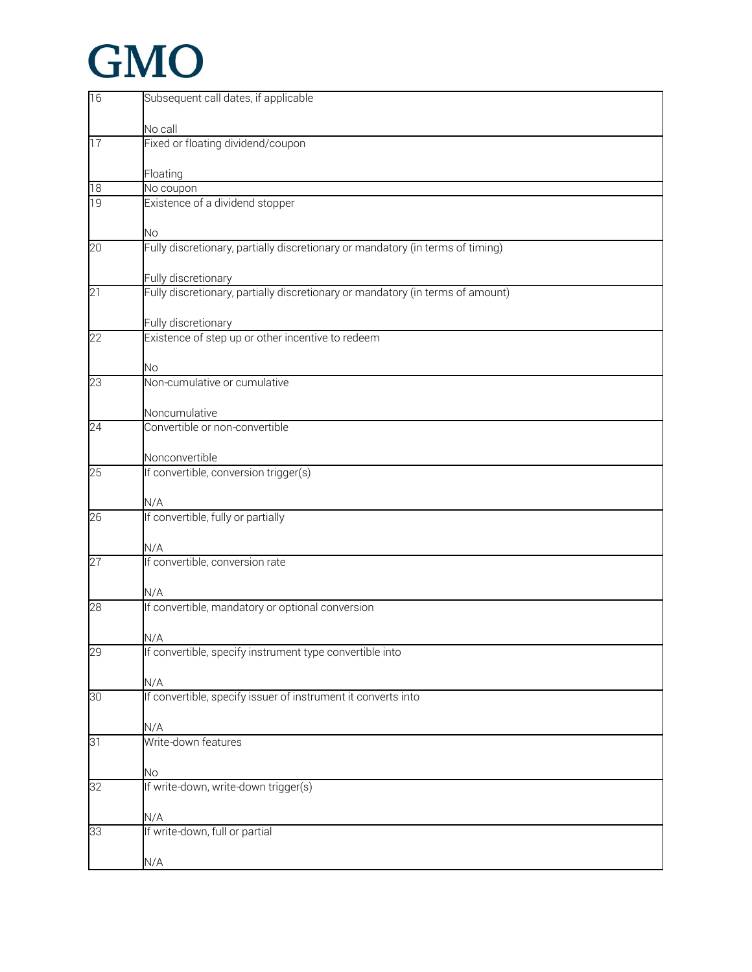| 16              | Subsequent call dates, if applicable                                           |
|-----------------|--------------------------------------------------------------------------------|
|                 |                                                                                |
|                 | No call                                                                        |
| 17              | Fixed or floating dividend/coupon                                              |
|                 |                                                                                |
| 18              | Floating<br>No coupon                                                          |
| 19              | Existence of a dividend stopper                                                |
|                 |                                                                                |
|                 | <b>No</b>                                                                      |
| $\overline{20}$ | Fully discretionary, partially discretionary or mandatory (in terms of timing) |
|                 |                                                                                |
|                 | Fully discretionary                                                            |
| 21              | Fully discretionary, partially discretionary or mandatory (in terms of amount) |
|                 |                                                                                |
|                 | Fully discretionary                                                            |
| 22              | Existence of step up or other incentive to redeem                              |
|                 |                                                                                |
| 23              | <b>No</b><br>Non-cumulative or cumulative                                      |
|                 |                                                                                |
|                 | Noncumulative                                                                  |
| $\overline{24}$ | Convertible or non-convertible                                                 |
|                 |                                                                                |
|                 | Nonconvertible                                                                 |
| 25              | If convertible, conversion trigger(s)                                          |
|                 |                                                                                |
|                 | N/A                                                                            |
| 26              | If convertible, fully or partially                                             |
|                 | N/A                                                                            |
| 27              | If convertible, conversion rate                                                |
|                 |                                                                                |
|                 | N/A                                                                            |
| $\overline{28}$ | If convertible, mandatory or optional conversion                               |
|                 |                                                                                |
|                 | N/A                                                                            |
| 29              | If convertible, specify instrument type convertible into                       |
|                 |                                                                                |
| 30 <sup>2</sup> | N/A<br>If convertible, specify issuer of instrument it converts into           |
|                 |                                                                                |
|                 | N/A                                                                            |
| 31              | Write-down features                                                            |
|                 |                                                                                |
|                 | <b>No</b>                                                                      |
| $\overline{32}$ | If write-down, write-down trigger(s)                                           |
|                 |                                                                                |
|                 | N/A                                                                            |
| 33              | If write-down, full or partial                                                 |
|                 |                                                                                |
|                 | N/A                                                                            |